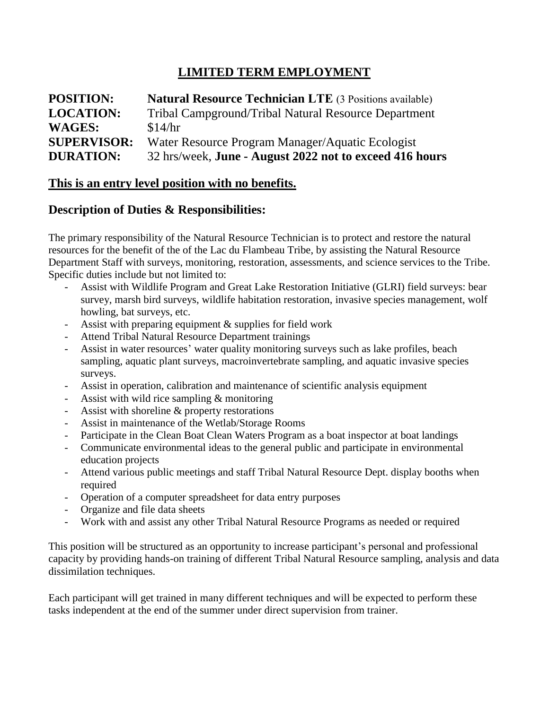# **LIMITED TERM EMPLOYMENT**

| <b>POSITION:</b>   | <b>Natural Resource Technician LTE</b> (3 Positions available) |
|--------------------|----------------------------------------------------------------|
| <b>LOCATION:</b>   | Tribal Campground/Tribal Natural Resource Department           |
| <b>WAGES:</b>      | \$14/hr                                                        |
| <b>SUPERVISOR:</b> | Water Resource Program Manager/Aquatic Ecologist               |
| <b>DURATION:</b>   | 32 hrs/week, June - August 2022 not to exceed 416 hours        |

## **This is an entry level position with no benefits.**

## **Description of Duties & Responsibilities:**

The primary responsibility of the Natural Resource Technician is to protect and restore the natural resources for the benefit of the of the Lac du Flambeau Tribe, by assisting the Natural Resource Department Staff with surveys, monitoring, restoration, assessments, and science services to the Tribe. Specific duties include but not limited to:

- Assist with Wildlife Program and Great Lake Restoration Initiative (GLRI) field surveys: bear survey, marsh bird surveys, wildlife habitation restoration, invasive species management, wolf howling, bat surveys, etc.
- Assist with preparing equipment  $&$  supplies for field work
- Attend Tribal Natural Resource Department trainings
- Assist in water resources' water quality monitoring surveys such as lake profiles, beach sampling, aquatic plant surveys, macroinvertebrate sampling, and aquatic invasive species surveys.
- Assist in operation, calibration and maintenance of scientific analysis equipment
- Assist with wild rice sampling & monitoring
- Assist with shoreline & property restorations
- Assist in maintenance of the Wetlab/Storage Rooms
- Participate in the Clean Boat Clean Waters Program as a boat inspector at boat landings
- Communicate environmental ideas to the general public and participate in environmental education projects
- Attend various public meetings and staff Tribal Natural Resource Dept. display booths when required
- Operation of a computer spreadsheet for data entry purposes
- Organize and file data sheets
- Work with and assist any other Tribal Natural Resource Programs as needed or required

This position will be structured as an opportunity to increase participant's personal and professional capacity by providing hands-on training of different Tribal Natural Resource sampling, analysis and data dissimilation techniques.

Each participant will get trained in many different techniques and will be expected to perform these tasks independent at the end of the summer under direct supervision from trainer.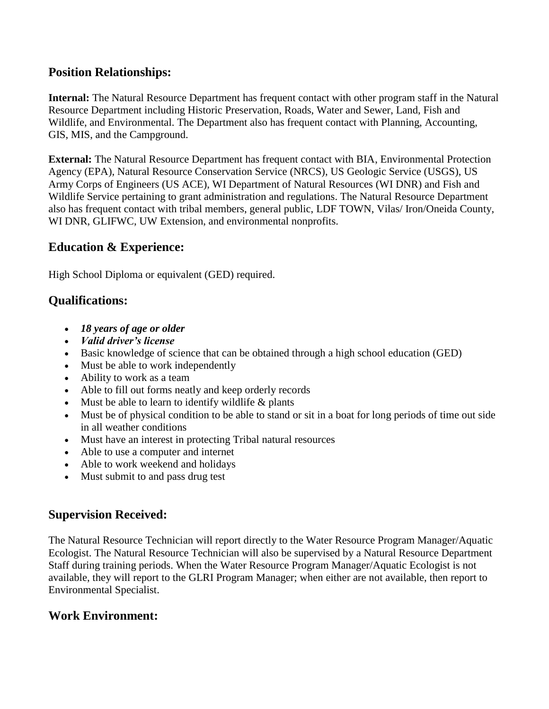## **Position Relationships:**

**Internal:** The Natural Resource Department has frequent contact with other program staff in the Natural Resource Department including Historic Preservation, Roads, Water and Sewer, Land, Fish and Wildlife, and Environmental. The Department also has frequent contact with Planning, Accounting, GIS, MIS, and the Campground.

**External:** The Natural Resource Department has frequent contact with BIA, Environmental Protection Agency (EPA), Natural Resource Conservation Service (NRCS), US Geologic Service (USGS), US Army Corps of Engineers (US ACE), WI Department of Natural Resources (WI DNR) and Fish and Wildlife Service pertaining to grant administration and regulations. The Natural Resource Department also has frequent contact with tribal members, general public, LDF TOWN, Vilas/ Iron/Oneida County, WI DNR, GLIFWC, UW Extension, and environmental nonprofits.

### **Education & Experience:**

High School Diploma or equivalent (GED) required.

### **Qualifications:**

- *18 years of age or older*
- *Valid driver's license*
- Basic knowledge of science that can be obtained through a high school education (GED)
- Must be able to work independently
- Ability to work as a team
- Able to fill out forms neatly and keep orderly records
- Must be able to learn to identify wildlife  $&$  plants
- Must be of physical condition to be able to stand or sit in a boat for long periods of time out side in all weather conditions
- Must have an interest in protecting Tribal natural resources
- Able to use a computer and internet
- Able to work weekend and holidays
- Must submit to and pass drug test

#### **Supervision Received:**

The Natural Resource Technician will report directly to the Water Resource Program Manager/Aquatic Ecologist. The Natural Resource Technician will also be supervised by a Natural Resource Department Staff during training periods. When the Water Resource Program Manager/Aquatic Ecologist is not available, they will report to the GLRI Program Manager; when either are not available, then report to Environmental Specialist.

#### **Work Environment:**